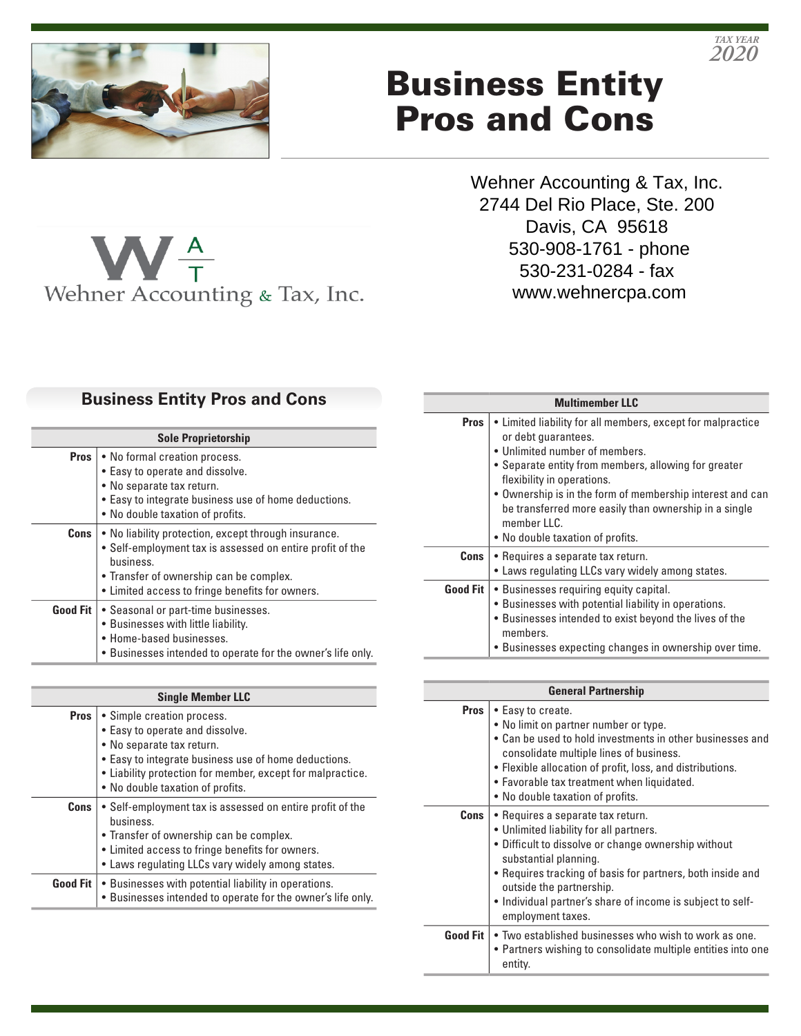

 $\mathbf{W}_{\tau}^{\text{A}}$ 

# Business Entity Pros and Cons

Wehner Accounting & Tax, Inc. 2744 Del Rio Place, Ste. 200 Davis, CA 95618 530-908-1761 - phone 530-231-0284 - fax www.wehnercpa.com

*2020 TAX YEAR*

## **Business Entity Pros and Cons**

Wehner Accounting & Tax, Inc.

| <b>Sole Proprietorship</b> |                                                                                                                                                                                                                              |
|----------------------------|------------------------------------------------------------------------------------------------------------------------------------------------------------------------------------------------------------------------------|
| Pros                       | • No formal creation process.<br>• Easy to operate and dissolve.<br>• No separate tax return.<br>• Easy to integrate business use of home deductions.<br>• No double taxation of profits.                                    |
| Cons                       | • No liability protection, except through insurance.<br>• Self-employment tax is assessed on entire profit of the<br>business.<br>• Transfer of ownership can be complex.<br>• Limited access to fringe benefits for owners. |
|                            | <b>Good Fit   •</b> Seasonal or part-time businesses.<br>• Businesses with little liability.<br>• Home-based businesses.<br>. Businesses intended to operate for the owner's life only.                                      |

| <b>Single Member LLC</b> |                                                                                                                                                                                                                                                      |
|--------------------------|------------------------------------------------------------------------------------------------------------------------------------------------------------------------------------------------------------------------------------------------------|
| Pros                     | • Simple creation process.<br>• Easy to operate and dissolve.<br>• No separate tax return.<br>• Easy to integrate business use of home deductions.<br>• Liability protection for member, except for malpractice.<br>• No double taxation of profits. |
| Cons                     | • Self-employment tax is assessed on entire profit of the<br>business.<br>• Transfer of ownership can be complex.<br>• Limited access to fringe benefits for owners.<br>• Laws regulating LLCs vary widely among states.                             |
|                          | <b>Good Fit</b> $\cdot$ Businesses with potential liability in operations.<br>. Businesses intended to operate for the owner's life only.                                                                                                            |

| <b>Multimember LLC</b> |                                                                                                                                                                                                                                                                                                                                                                                         |
|------------------------|-----------------------------------------------------------------------------------------------------------------------------------------------------------------------------------------------------------------------------------------------------------------------------------------------------------------------------------------------------------------------------------------|
| <b>Pros</b>            | • Limited liability for all members, except for malpractice<br>or debt guarantees.<br>• Unlimited number of members.<br>• Separate entity from members, allowing for greater<br>flexibility in operations.<br>• Ownership is in the form of membership interest and can<br>be transferred more easily than ownership in a single<br>member $\Pi$ C.<br>. No double taxation of profits. |
| Cons                   | • Requires a separate tax return.<br>• Laws regulating LLCs vary widely among states.                                                                                                                                                                                                                                                                                                   |
| <b>Good Fit</b>        | • Businesses requiring equity capital.<br>• Businesses with potential liability in operations.<br>• Businesses intended to exist beyond the lives of the<br>members.<br>• Businesses expecting changes in ownership over time.                                                                                                                                                          |

| <b>General Partnership</b> |                                                                                                                                                                                                                                                                                                                                           |
|----------------------------|-------------------------------------------------------------------------------------------------------------------------------------------------------------------------------------------------------------------------------------------------------------------------------------------------------------------------------------------|
| <b>Pros</b>                | • Easy to create.<br>• No limit on partner number or type.<br>• Can be used to hold investments in other businesses and<br>consolidate multiple lines of business.<br>• Flexible allocation of profit, loss, and distributions.<br>• Favorable tax treatment when liquidated.<br>• No double taxation of profits.                         |
| Cons                       | • Requires a separate tax return.<br>• Unlimited liability for all partners.<br>• Difficult to dissolve or change ownership without<br>substantial planning.<br>• Requires tracking of basis for partners, both inside and<br>outside the partnership.<br>• Individual partner's share of income is subject to self-<br>employment taxes. |
| <b>Good Fit</b>            | • Two established businesses who wish to work as one.<br>• Partners wishing to consolidate multiple entities into one<br>entity.                                                                                                                                                                                                          |